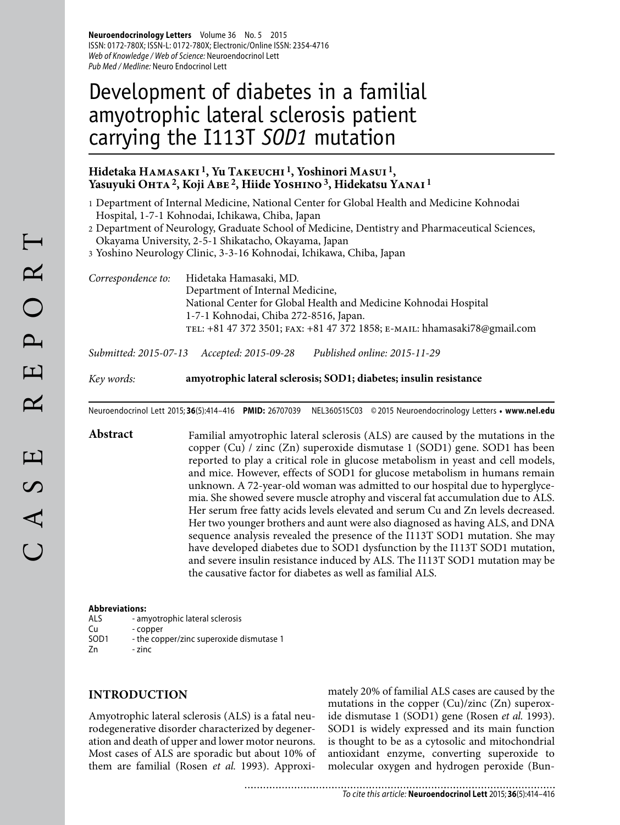**Neuroendocrinology Letters** Volume 36 No. 5 2015 ISSN: 0172-780X; ISSN-L: 0172-780X; Electronic/Online ISSN: 2354-4716 Web of Knowledge / Web of Science: Neuroendocrinol Lett Pub Med / Medline: Neuro Endocrinol Lett

# Development of diabetes in a familial amyotrophic lateral sclerosis patient carrying the I113T *SOD1* mutation

## **Hidetaka Hamasaki 1, Yu Takeuchi 1, Yoshinori Masui 1,**  Yasuyuki OHTA<sup>2</sup>, Koji ABE<sup>2</sup>, Hiide YOSHINO<sup>3</sup>, Hidekatsu YANAI<sup>1</sup>

- 1 Department of Internal Medicine, National Center for Global Health and Medicine Kohnodai Hospital, 1-7-1 Kohnodai, Ichikawa, Chiba, Japan
- 2 Department of Neurology, Graduate School of Medicine, Dentistry and Pharmaceutical Sciences, Okayama University, 2-5-1 Shikatacho, Okayama, Japan

3 Yoshino Neurology Clinic, 3-3-16 Kohnodai, Ichikawa, Chiba, Japan

*Correspondence to:* Hidetaka Hamasaki, MD. Department of Internal Medicine, National Center for Global Health and Medicine Kohnodai Hospital 1-7-1 Kohnodai, Chiba 272-8516, Japan. tel: +81 47 372 3501; fax: +81 47 372 1858; e-mail: hhamasaki78@gmail.com

*Submitted: 2015-07-13 Accepted: 2015-09-28 Published online: 2015-11-29*

*Key words:* **amyotrophic lateral sclerosis; SOD1; diabetes; insulin resistance**

Neuroendocrinol Lett 2015; **36**(5):414–416 **PMID:** 26707039 NEL360515C03 © 2015 Neuroendocrinology Letters • **www.nel.edu**

**Abstract** Familial amyotrophic lateral sclerosis (ALS) are caused by the mutations in the copper (Cu) / zinc (Zn) superoxide dismutase 1 (SOD1) gene. SOD1 has been reported to play a critical role in glucose metabolism in yeast and cell models, and mice. However, effects of SOD1 for glucose metabolism in humans remain unknown. A 72-year-old woman was admitted to our hospital due to hyperglycemia. She showed severe muscle atrophy and visceral fat accumulation due to ALS. Her serum free fatty acids levels elevated and serum Cu and Zn levels decreased. Her two younger brothers and aunt were also diagnosed as having ALS, and DNA sequence analysis revealed the presence of the I113T SOD1 mutation. She may have developed diabetes due to SOD1 dysfunction by the I113T SOD1 mutation, and severe insulin resistance induced by ALS. The I113T SOD1 mutation may be the causative factor for diabetes as well as familial ALS.

### **Abbreviations:**

- ALS amyotrophic lateral sclerosis
- Cu copper<br>SOD1 the cop
- the copper/zinc superoxide dismutase 1

Zn - zinc

# **INTRODUCTION**

Amyotrophic lateral sclerosis (ALS) is a fatal neurodegenerative disorder characterized by degeneration and death of upper and lower motor neurons. Most cases of ALS are sporadic but about 10% of them are familial (Rosen *et al.* 1993). Approximately 20% of familial ALS cases are caused by the mutations in the copper (Cu)/zinc (Zn) superoxide dismutase 1 (SOD1) gene (Rosen *et al.* 1993). SOD1 is widely expressed and its main function is thought to be as a cytosolic and mitochondrial antioxidant enzyme, converting superoxide to molecular oxygen and hydrogen peroxide (Bun-

..........................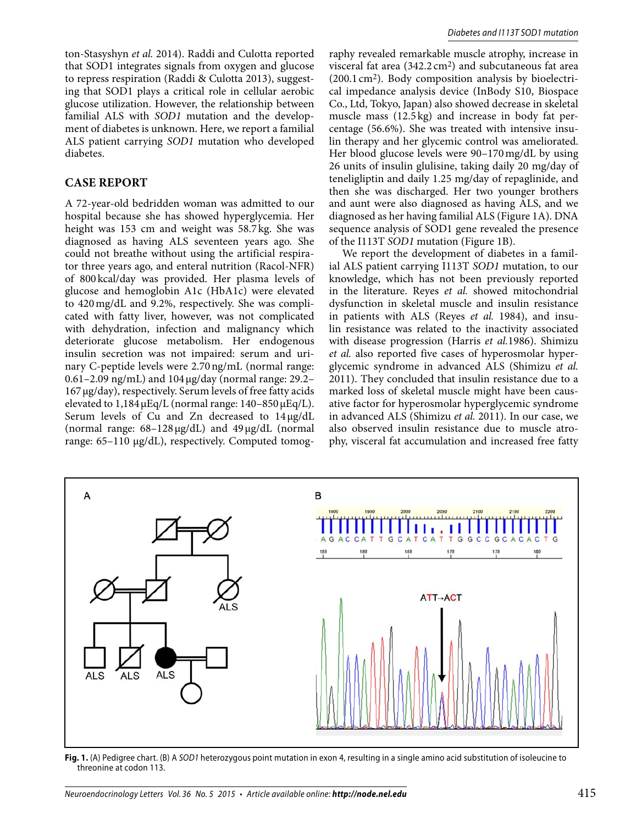ton-Stasyshyn *et al.* 2014). Raddi and Culotta reported that SOD1 integrates signals from oxygen and glucose to repress respiration (Raddi & Culotta 2013), suggesting that SOD1 plays a critical role in cellular aerobic glucose utilization. However, the relationship between familial ALS with *SOD1* mutation and the development of diabetes is unknown. Here, we report a familial ALS patient carrying *SOD1* mutation who developed diabetes.

## **CASE REPORT**

A 72-year-old bedridden woman was admitted to our hospital because she has showed hyperglycemia. Her height was 153 cm and weight was 58.7 kg. She was diagnosed as having ALS seventeen years ago. She could not breathe without using the artificial respirator three years ago, and enteral nutrition (Racol-NFR) of 800 kcal/day was provided. Her plasma levels of glucose and hemoglobin A1c (HbA1c) were elevated to 420 mg/dL and 9.2%, respectively. She was complicated with fatty liver, however, was not complicated with dehydration, infection and malignancy which deteriorate glucose metabolism. Her endogenous insulin secretion was not impaired: serum and urinary C-peptide levels were 2.70 ng/mL (normal range: 0.61–2.09 ng/mL) and 104 μg/day (normal range: 29.2– 167 μg/day), respectively. Serum levels of free fatty acids elevated to  $1,184 \mu$ Eq/L (normal range:  $140-850 \mu$ Eq/L). Serum levels of Cu and Zn decreased to 14 μg/dL (normal range: 68–128 μg/dL) and 49 μg/dL (normal range: 65–110 μg/dL), respectively. Computed tomography revealed remarkable muscle atrophy, increase in visceral fat area  $(342.2 \text{ cm}^2)$  and subcutaneous fat area (200.1 cm2). Body composition analysis by bioelectrical impedance analysis device (InBody S10, Biospace Co., Ltd, Tokyo, Japan) also showed decrease in skeletal muscle mass (12.5 kg) and increase in body fat percentage (56.6%). She was treated with intensive insulin therapy and her glycemic control was ameliorated. Her blood glucose levels were 90–170 mg/dL by using 26 units of insulin glulisine, taking daily 20 mg/day of teneligliptin and daily 1.25 mg/day of repaglinide, and then she was discharged. Her two younger brothers and aunt were also diagnosed as having ALS, and we diagnosed as her having familial ALS (Figure 1A). DNA sequence analysis of SOD1 gene revealed the presence of the I113T *SOD1* mutation (Figure 1B).

We report the development of diabetes in a familial ALS patient carrying I113T *SOD1* mutation, to our knowledge, which has not been previously reported in the literature. Reyes *et al.* showed mitochondrial dysfunction in skeletal muscle and insulin resistance in patients with ALS (Reyes *et al.* 1984), and insulin resistance was related to the inactivity associated with disease progression (Harris *et al.*1986). Shimizu *et al.* also reported five cases of hyperosmolar hyperglycemic syndrome in advanced ALS (Shimizu *et al.*  2011). They concluded that insulin resistance due to a marked loss of skeletal muscle might have been causative factor for hyperosmolar hyperglycemic syndrome in advanced ALS (Shimizu *et al.* 2011). In our case, we also observed insulin resistance due to muscle atrophy, visceral fat accumulation and increased free fatty



**Fig. 1.** (A) Pedigree chart. (B) A SOD1 heterozygous point mutation in exon 4, resulting in a single amino acid substitution of isoleucine to threonine at codon 113.